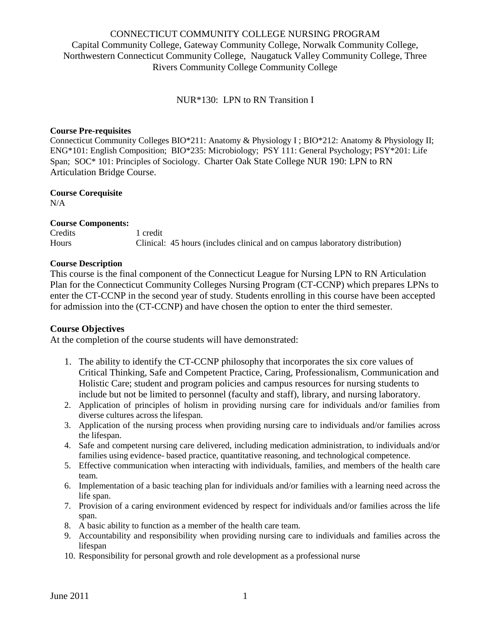# CONNECTICUT COMMUNITY COLLEGE NURSING PROGRAM Capital Community College, Gateway Community College, Norwalk Community College, Northwestern Connecticut Community College, Naugatuck Valley Community College, Three Rivers Community College Community College

NUR\*130: LPN to RN Transition I

#### **Course Pre-requisites**

Connecticut Community Colleges BIO\*211: Anatomy & Physiology I ; BIO\*212: Anatomy & Physiology II; ENG\*101: English Composition; BIO\*235: Microbiology; PSY 111: General Psychology; PSY\*201: Life Span; SOC\* 101: Principles of Sociology. Charter Oak State College NUR 190: LPN to RN Articulation Bridge Course.

# **Course Corequisite**

N/A

#### **Course Components:**

Credits 1 credit Hours Clinical: 45 hours (includes clinical and on campus laboratory distribution)

#### **Course Description**

This course is the final component of the Connecticut League for Nursing LPN to RN Articulation Plan for the Connecticut Community Colleges Nursing Program (CT-CCNP) which prepares LPNs to enter the CT-CCNP in the second year of study. Students enrolling in this course have been accepted for admission into the (CT-CCNP) and have chosen the option to enter the third semester.

## **Course Objectives**

At the completion of the course students will have demonstrated:

- 1. The ability to identify the CT-CCNP philosophy that incorporates the six core values of Critical Thinking, Safe and Competent Practice, Caring, Professionalism, Communication and Holistic Care; student and program policies and campus resources for nursing students to include but not be limited to personnel (faculty and staff), library, and nursing laboratory.
- 2. Application of principles of holism in providing nursing care for individuals and/or families from diverse cultures across the lifespan.
- 3. Application of the nursing process when providing nursing care to individuals and/or families across the lifespan.
- 4. Safe and competent nursing care delivered, including medication administration, to individuals and/or families using evidence- based practice, quantitative reasoning, and technological competence.
- 5. Effective communication when interacting with individuals, families, and members of the health care team.
- 6. Implementation of a basic teaching plan for individuals and/or families with a learning need across the life span.
- 7. Provision of a caring environment evidenced by respect for individuals and/or families across the life span.
- 8. A basic ability to function as a member of the health care team.
- 9. Accountability and responsibility when providing nursing care to individuals and families across the lifespan
- 10. Responsibility for personal growth and role development as a professional nurse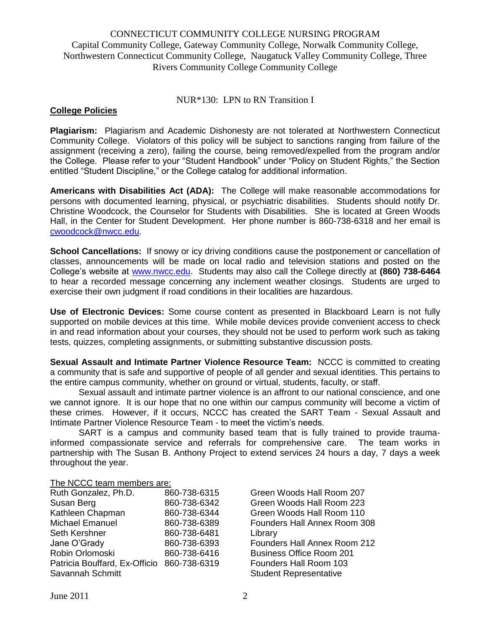## CONNECTICUT COMMUNITY COLLEGE NURSING PROGRAM Capital Community College, Gateway Community College, Norwalk Community College, Northwestern Connecticut Community College, Naugatuck Valley Community College, Three Rivers Community College Community College

#### NUR\*130: LPN to RN Transition I

## **College Policies**

**Plagiarism:** Plagiarism and Academic Dishonesty are not tolerated at Northwestern Connecticut Community College. Violators of this policy will be subject to sanctions ranging from failure of the assignment (receiving a zero), failing the course, being removed/expelled from the program and/or the College. Please refer to your "Student Handbook" under "Policy on Student Rights," the Section entitled "Student Discipline," or the College catalog for additional information.

**Americans with Disabilities Act (ADA):** The College will make reasonable accommodations for persons with documented learning, physical, or psychiatric disabilities. Students should notify Dr. Christine Woodcock, the Counselor for Students with Disabilities. She is located at Green Woods Hall, in the Center for Student Development. Her phone number is 860-738-6318 and her email is [cwoodcock@nwcc.edu.](mailto:cwoodcock@nwcc.edu)

**School Cancellations:** If snowy or icy driving conditions cause the postponement or cancellation of classes, announcements will be made on local radio and television stations and posted on the College's website at [www.nwcc.edu.](http://www.nwcc.edu/) Students may also call the College directly at **(860) 738-6464** to hear a recorded message concerning any inclement weather closings. Students are urged to exercise their own judgment if road conditions in their localities are hazardous.

**Use of Electronic Devices:** Some course content as presented in Blackboard Learn is not fully supported on mobile devices at this time. While mobile devices provide convenient access to check in and read information about your courses, they should not be used to perform work such as taking tests, quizzes, completing assignments, or submitting substantive discussion posts.

**Sexual Assault and Intimate Partner Violence Resource Team:** NCCC is committed to creating a community that is safe and supportive of people of all gender and sexual identities. This pertains to the entire campus community, whether on ground or virtual, students, faculty, or staff.

Sexual assault and intimate partner violence is an affront to our national conscience, and one we cannot ignore. It is our hope that no one within our campus community will become a victim of these crimes. However, if it occurs, NCCC has created the SART Team - Sexual Assault and Intimate Partner Violence Resource Team - to meet the victim's needs.

SART is a campus and community based team that is fully trained to provide traumainformed compassionate service and referrals for comprehensive care. The team works in partnership with The Susan B. Anthony Project to extend services 24 hours a day, 7 days a week throughout the year.

## The NCCC team members are:

| Ruth Gonzalez, Ph.D.          | 860-738-6315 |
|-------------------------------|--------------|
| Susan Berg                    | 860-738-6342 |
| Kathleen Chapman              | 860-738-6344 |
| <b>Michael Emanuel</b>        | 860-738-6389 |
| Seth Kershner                 | 860-738-6481 |
| Jane O'Grady                  | 860-738-6393 |
| Robin Orlomoski               | 860-738-6416 |
| Patricia Bouffard, Ex-Officio | 860-738-6319 |
| Savannah Schmitt              |              |

Green Woods Hall Room 207 Green Woods Hall Room 223 Green Woods Hall Room 110 Founders Hall Annex Room 308 Library Founders Hall Annex Room 212 Business Office Room 201 Founders Hall Room 103 Student Representative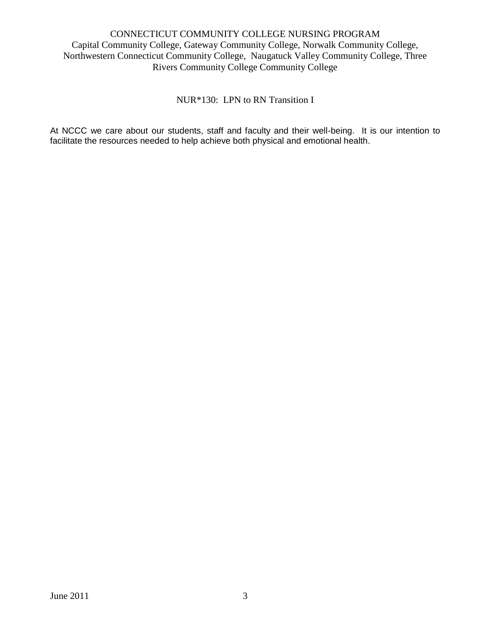# CONNECTICUT COMMUNITY COLLEGE NURSING PROGRAM Capital Community College, Gateway Community College, Norwalk Community College, Northwestern Connecticut Community College, Naugatuck Valley Community College, Three Rivers Community College Community College

NUR\*130: LPN to RN Transition I

At NCCC we care about our students, staff and faculty and their well-being. It is our intention to facilitate the resources needed to help achieve both physical and emotional health.